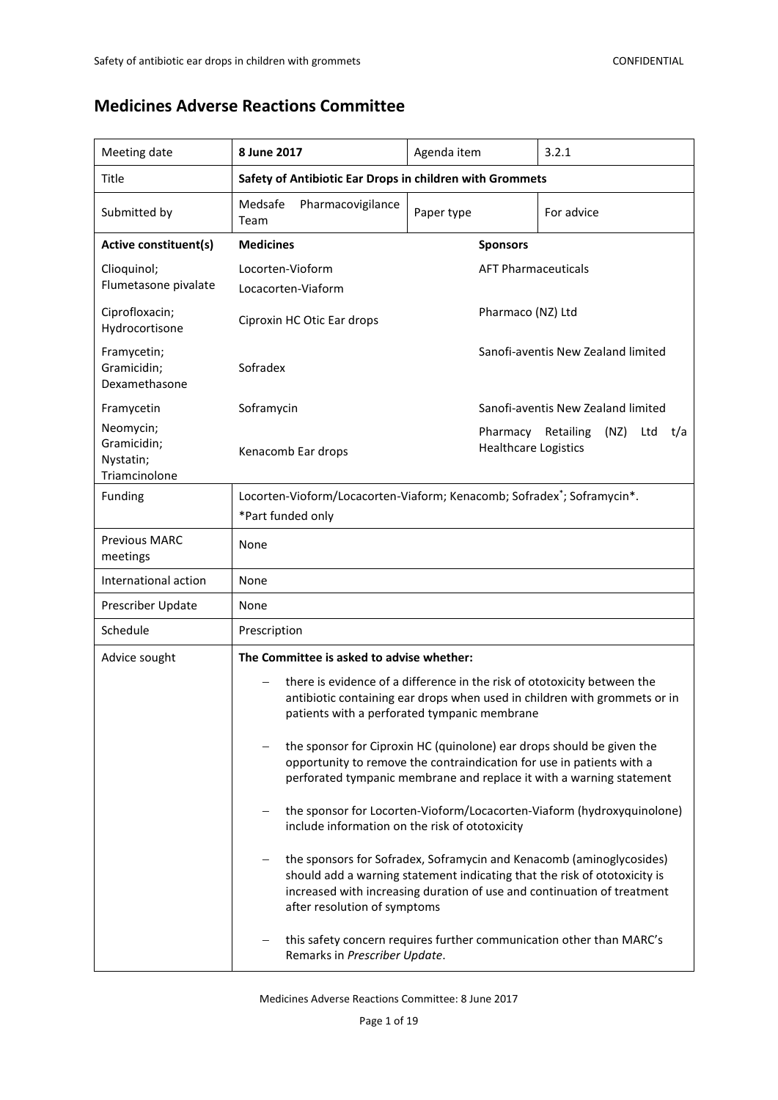# **Medicines Adverse Reactions Committee**

| Meeting date                                                                                          | 8 June 2017                                                                                                                                                                                                                                                  | Agenda item                | 3.2.1                              |  |  |
|-------------------------------------------------------------------------------------------------------|--------------------------------------------------------------------------------------------------------------------------------------------------------------------------------------------------------------------------------------------------------------|----------------------------|------------------------------------|--|--|
| Title                                                                                                 | Safety of Antibiotic Ear Drops in children with Grommets                                                                                                                                                                                                     |                            |                                    |  |  |
| Submitted by                                                                                          | Medsafe<br>Pharmacovigilance<br>Team                                                                                                                                                                                                                         | Paper type<br>For advice   |                                    |  |  |
| <b>Active constituent(s)</b>                                                                          | <b>Medicines</b>                                                                                                                                                                                                                                             | <b>Sponsors</b>            |                                    |  |  |
| Clioquinol;<br>Flumetasone pivalate                                                                   | Locorten-Vioform<br>Locacorten-Viaform                                                                                                                                                                                                                       | <b>AFT Pharmaceuticals</b> |                                    |  |  |
| Ciprofloxacin;<br>Hydrocortisone                                                                      | Pharmaco (NZ) Ltd<br>Ciproxin HC Otic Ear drops                                                                                                                                                                                                              |                            |                                    |  |  |
| Framycetin;<br>Gramicidin;<br>Dexamethasone                                                           | Sanofi-aventis New Zealand limited<br>Sofradex                                                                                                                                                                                                               |                            |                                    |  |  |
| Framycetin                                                                                            | Soframycin                                                                                                                                                                                                                                                   |                            | Sanofi-aventis New Zealand limited |  |  |
| Neomycin;<br>Gramicidin;<br>Nystatin;<br>Triamcinolone                                                | Pharmacy Retailing<br>(NZ)<br>Ltd<br>t/a<br><b>Healthcare Logistics</b><br>Kenacomb Ear drops                                                                                                                                                                |                            |                                    |  |  |
| Funding                                                                                               | Locorten-Vioform/Locacorten-Viaform; Kenacomb; Sofradex <sup>*</sup> ; Soframycin*.<br>*Part funded only                                                                                                                                                     |                            |                                    |  |  |
| <b>Previous MARC</b><br>meetings                                                                      | None                                                                                                                                                                                                                                                         |                            |                                    |  |  |
| International action                                                                                  | None                                                                                                                                                                                                                                                         |                            |                                    |  |  |
| Prescriber Update                                                                                     | None                                                                                                                                                                                                                                                         |                            |                                    |  |  |
| Schedule                                                                                              | Prescription                                                                                                                                                                                                                                                 |                            |                                    |  |  |
| Advice sought                                                                                         | The Committee is asked to advise whether:                                                                                                                                                                                                                    |                            |                                    |  |  |
|                                                                                                       | there is evidence of a difference in the risk of ototoxicity between the<br>antibiotic containing ear drops when used in children with grommets or in<br>patients with a perforated tympanic membrane                                                        |                            |                                    |  |  |
|                                                                                                       | the sponsor for Ciproxin HC (quinolone) ear drops should be given the<br>opportunity to remove the contraindication for use in patients with a<br>perforated tympanic membrane and replace it with a warning statement                                       |                            |                                    |  |  |
|                                                                                                       | the sponsor for Locorten-Vioform/Locacorten-Viaform (hydroxyquinolone)<br>include information on the risk of ototoxicity                                                                                                                                     |                            |                                    |  |  |
|                                                                                                       | the sponsors for Sofradex, Soframycin and Kenacomb (aminoglycosides)<br>should add a warning statement indicating that the risk of ototoxicity is<br>increased with increasing duration of use and continuation of treatment<br>after resolution of symptoms |                            |                                    |  |  |
| this safety concern requires further communication other than MARC's<br>Remarks in Prescriber Update. |                                                                                                                                                                                                                                                              |                            |                                    |  |  |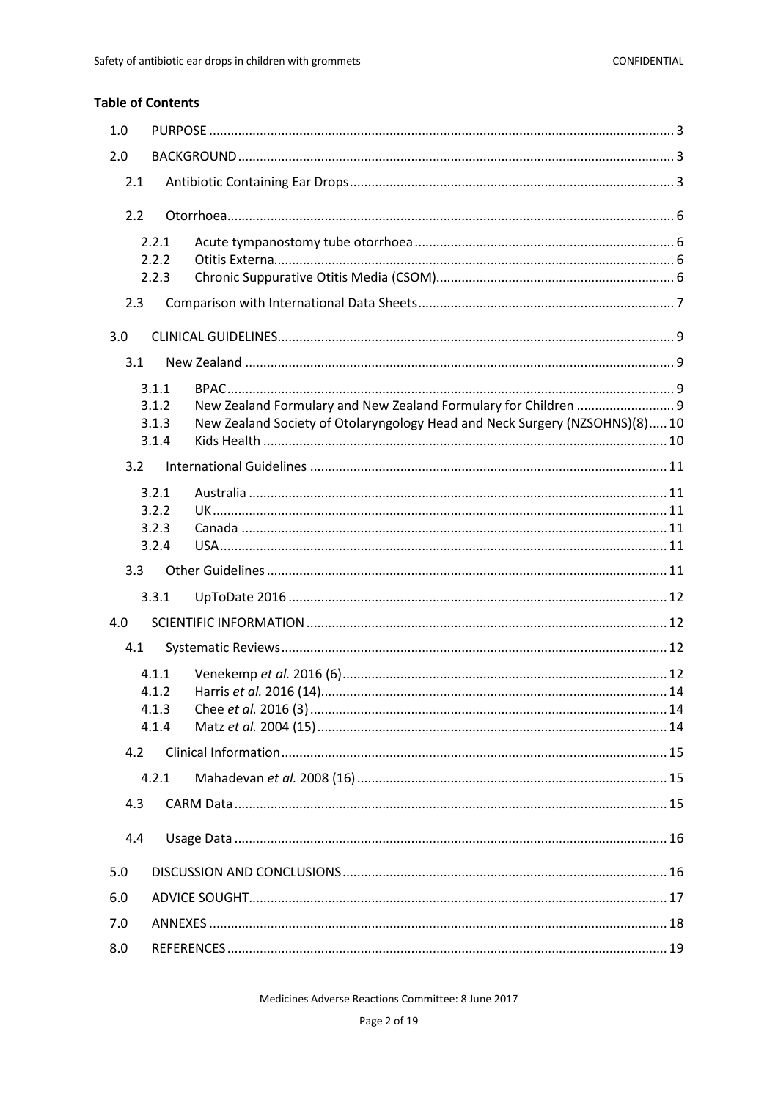## **Table of Contents**

| 1.0 |                |                                                                             |  |
|-----|----------------|-----------------------------------------------------------------------------|--|
| 2.0 |                |                                                                             |  |
| 2.1 |                |                                                                             |  |
| 2.2 |                |                                                                             |  |
|     | 2.2.1<br>2.2.2 |                                                                             |  |
|     | 2.2.3          |                                                                             |  |
| 2.3 |                |                                                                             |  |
| 3.0 |                |                                                                             |  |
| 3.1 |                |                                                                             |  |
|     | 3.1.1          |                                                                             |  |
|     | 3.1.2          |                                                                             |  |
|     | 3.1.3<br>3.1.4 | New Zealand Society of Otolaryngology Head and Neck Surgery (NZSOHNS)(8) 10 |  |
| 3.2 |                |                                                                             |  |
|     | 3.2.1          |                                                                             |  |
|     | 3.2.2          |                                                                             |  |
|     | 3.2.3          |                                                                             |  |
|     | 3.2.4          |                                                                             |  |
| 3.3 |                |                                                                             |  |
|     | 3.3.1          |                                                                             |  |
| 4.0 |                |                                                                             |  |
| 4.1 |                |                                                                             |  |
|     | 4.1.1          |                                                                             |  |
|     | 4.1.2          |                                                                             |  |
|     | 4.1.3          |                                                                             |  |
|     | 4.1.4          |                                                                             |  |
| 4.2 | 4.2.1          |                                                                             |  |
| 4.3 |                |                                                                             |  |
|     |                |                                                                             |  |
| 4.4 |                |                                                                             |  |
| 5.0 |                |                                                                             |  |
| 6.0 |                |                                                                             |  |
| 7.0 |                |                                                                             |  |
| 8.0 |                |                                                                             |  |

Medicines Adverse Reactions Committee: 8 June 2017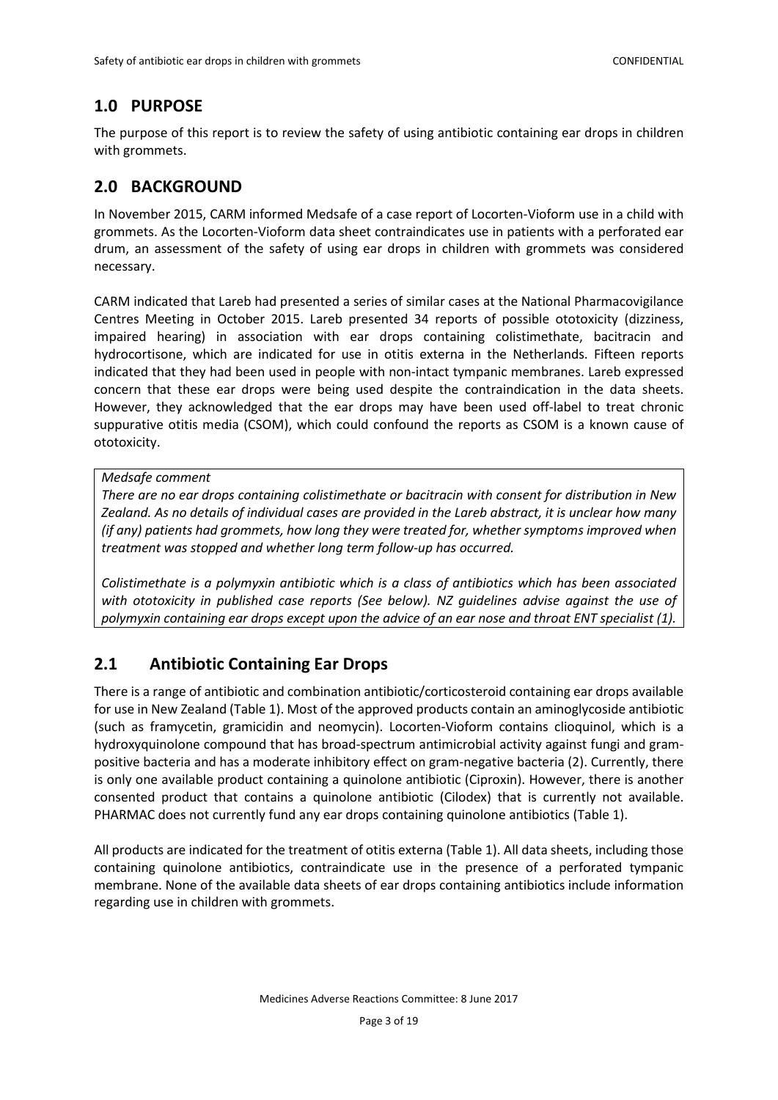# <span id="page-2-0"></span>**1.0 PURPOSE**

The purpose of this report is to review the safety of using antibiotic containing ear drops in children with grommets.

# <span id="page-2-1"></span>**2.0 BACKGROUND**

In November 2015, CARM informed Medsafe of a case report of Locorten-Vioform use in a child with grommets. As the Locorten-Vioform data sheet contraindicates use in patients with a perforated ear drum, an assessment of the safety of using ear drops in children with grommets was considered necessary.

CARM indicated that Lareb had presented a series of similar cases at the National Pharmacovigilance Centres Meeting in October 2015. Lareb presented 34 reports of possible ototoxicity (dizziness, impaired hearing) in association with ear drops containing colistimethate, bacitracin and hydrocortisone, which are indicated for use in otitis externa in the Netherlands. Fifteen reports indicated that they had been used in people with non-intact tympanic membranes. Lareb expressed concern that these ear drops were being used despite the contraindication in the data sheets. However, they acknowledged that the ear drops may have been used off-label to treat chronic suppurative otitis media (CSOM), which could confound the reports as CSOM is a known cause of ototoxicity.

### *Medsafe comment*

*There are no ear drops containing colistimethate or bacitracin with consent for distribution in New Zealand. As no details of individual cases are provided in the Lareb abstract, it is unclear how many (if any) patients had grommets, how long they were treated for, whether symptoms improved when treatment was stopped and whether long term follow-up has occurred.* 

*Colistimethate is a polymyxin antibiotic which is a class of antibiotics which has been associated with ototoxicity in published case reports (See below). NZ guidelines advise against the use of polymyxin containing ear drops except upon the advice of an ear nose and throat ENT specialist (1).*

## <span id="page-2-2"></span>**2.1 Antibiotic Containing Ear Drops**

There is a range of antibiotic and combination antibiotic/corticosteroid containing ear drops available for use in New Zealand (Table 1). Most of the approved products contain an aminoglycoside antibiotic (such as framycetin, gramicidin and neomycin). Locorten-Vioform contains clioquinol, which is a hydroxyquinolone compound that has broad-spectrum antimicrobial activity against fungi and grampositive bacteria and has a moderate inhibitory effect on gram-negative bacteria (2). Currently, there is only one available product containing a quinolone antibiotic (Ciproxin). However, there is another consented product that contains a quinolone antibiotic (Cilodex) that is currently not available. PHARMAC does not currently fund any ear drops containing quinolone antibiotics (Table 1).

All products are indicated for the treatment of otitis externa (Table 1). All data sheets, including those containing quinolone antibiotics, contraindicate use in the presence of a perforated tympanic membrane. None of the available data sheets of ear drops containing antibiotics include information regarding use in children with grommets.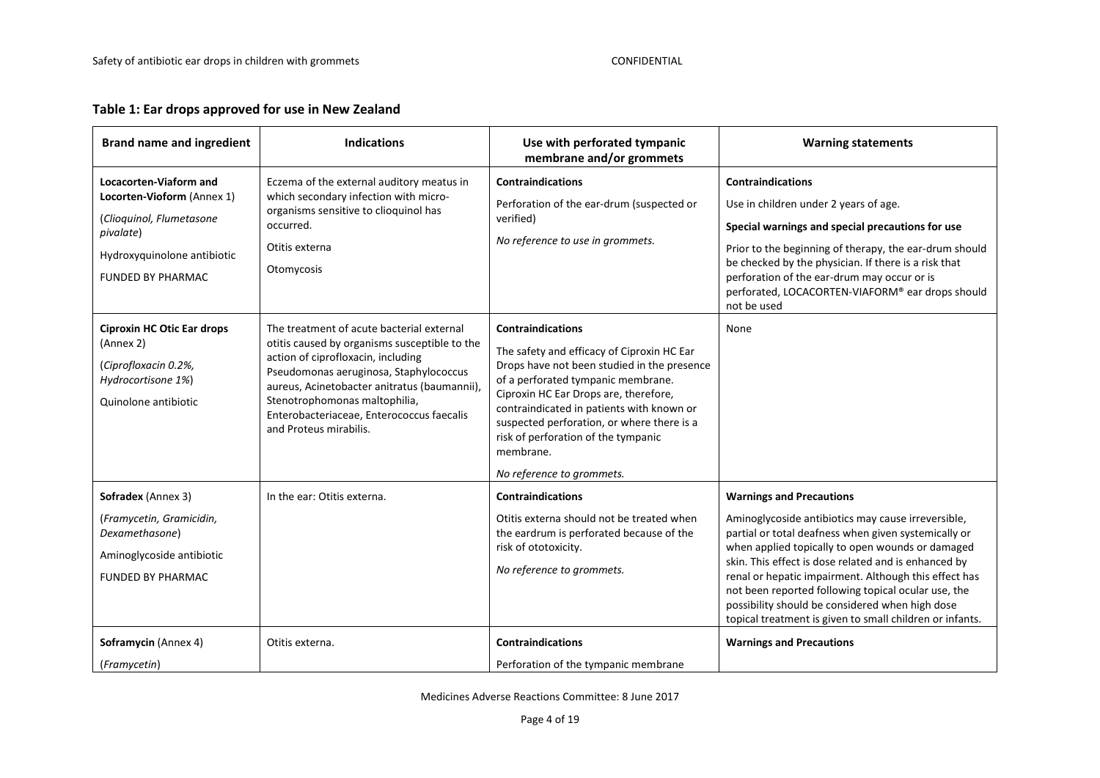## **Table 1: Ear drops approved for use in New Zealand**

| <b>Brand name and ingredient</b>                                                                                                                         | <b>Indications</b>                                                                                                                                                                                                                                                                                                                 | Use with perforated tympanic<br>membrane and/or grommets                                                                                                                                                                                                                                                                                                                         | <b>Warning statements</b>                                                                                                                                                                                                                                                                                                                                                                                                                                                                                                   |
|----------------------------------------------------------------------------------------------------------------------------------------------------------|------------------------------------------------------------------------------------------------------------------------------------------------------------------------------------------------------------------------------------------------------------------------------------------------------------------------------------|----------------------------------------------------------------------------------------------------------------------------------------------------------------------------------------------------------------------------------------------------------------------------------------------------------------------------------------------------------------------------------|-----------------------------------------------------------------------------------------------------------------------------------------------------------------------------------------------------------------------------------------------------------------------------------------------------------------------------------------------------------------------------------------------------------------------------------------------------------------------------------------------------------------------------|
| Locacorten-Viaform and<br>Locorten-Vioform (Annex 1)<br>(Clioquinol, Flumetasone<br>pivalate)<br>Hydroxyquinolone antibiotic<br><b>FUNDED BY PHARMAC</b> | Eczema of the external auditory meatus in<br>which secondary infection with micro-<br>organisms sensitive to clioquinol has<br>occurred.<br>Otitis externa<br>Otomycosis                                                                                                                                                           | <b>Contraindications</b><br>Perforation of the ear-drum (suspected or<br>verified)<br>No reference to use in grommets.                                                                                                                                                                                                                                                           | <b>Contraindications</b><br>Use in children under 2 years of age.<br>Special warnings and special precautions for use<br>Prior to the beginning of therapy, the ear-drum should<br>be checked by the physician. If there is a risk that<br>perforation of the ear-drum may occur or is<br>perforated, LOCACORTEN-VIAFORM® ear drops should<br>not be used                                                                                                                                                                   |
| <b>Ciproxin HC Otic Ear drops</b><br>(Annex 2)<br>(Ciprofloxacin 0.2%,<br>Hydrocortisone 1%)<br>Quinolone antibiotic                                     | The treatment of acute bacterial external<br>otitis caused by organisms susceptible to the<br>action of ciprofloxacin, including<br>Pseudomonas aeruginosa, Staphylococcus<br>aureus, Acinetobacter anitratus (baumannii),<br>Stenotrophomonas maltophilia,<br>Enterobacteriaceae, Enterococcus faecalis<br>and Proteus mirabilis. | <b>Contraindications</b><br>The safety and efficacy of Ciproxin HC Ear<br>Drops have not been studied in the presence<br>of a perforated tympanic membrane.<br>Ciproxin HC Ear Drops are, therefore,<br>contraindicated in patients with known or<br>suspected perforation, or where there is a<br>risk of perforation of the tympanic<br>membrane.<br>No reference to grommets. | None                                                                                                                                                                                                                                                                                                                                                                                                                                                                                                                        |
| Sofradex (Annex 3)<br>(Framycetin, Gramicidin,<br>Dexamethasone)<br>Aminoglycoside antibiotic<br><b>FUNDED BY PHARMAC</b><br>Soframycin (Annex 4)        | In the ear: Otitis externa.<br>Otitis externa.                                                                                                                                                                                                                                                                                     | <b>Contraindications</b><br>Otitis externa should not be treated when<br>the eardrum is perforated because of the<br>risk of ototoxicity.<br>No reference to grommets.<br><b>Contraindications</b>                                                                                                                                                                               | <b>Warnings and Precautions</b><br>Aminoglycoside antibiotics may cause irreversible,<br>partial or total deafness when given systemically or<br>when applied topically to open wounds or damaged<br>skin. This effect is dose related and is enhanced by<br>renal or hepatic impairment. Although this effect has<br>not been reported following topical ocular use, the<br>possibility should be considered when high dose<br>topical treatment is given to small children or infants.<br><b>Warnings and Precautions</b> |
| (Framycetin)                                                                                                                                             |                                                                                                                                                                                                                                                                                                                                    | Perforation of the tympanic membrane                                                                                                                                                                                                                                                                                                                                             |                                                                                                                                                                                                                                                                                                                                                                                                                                                                                                                             |

Medicines Adverse Reactions Committee: 8 June 2017

Page 4 of 19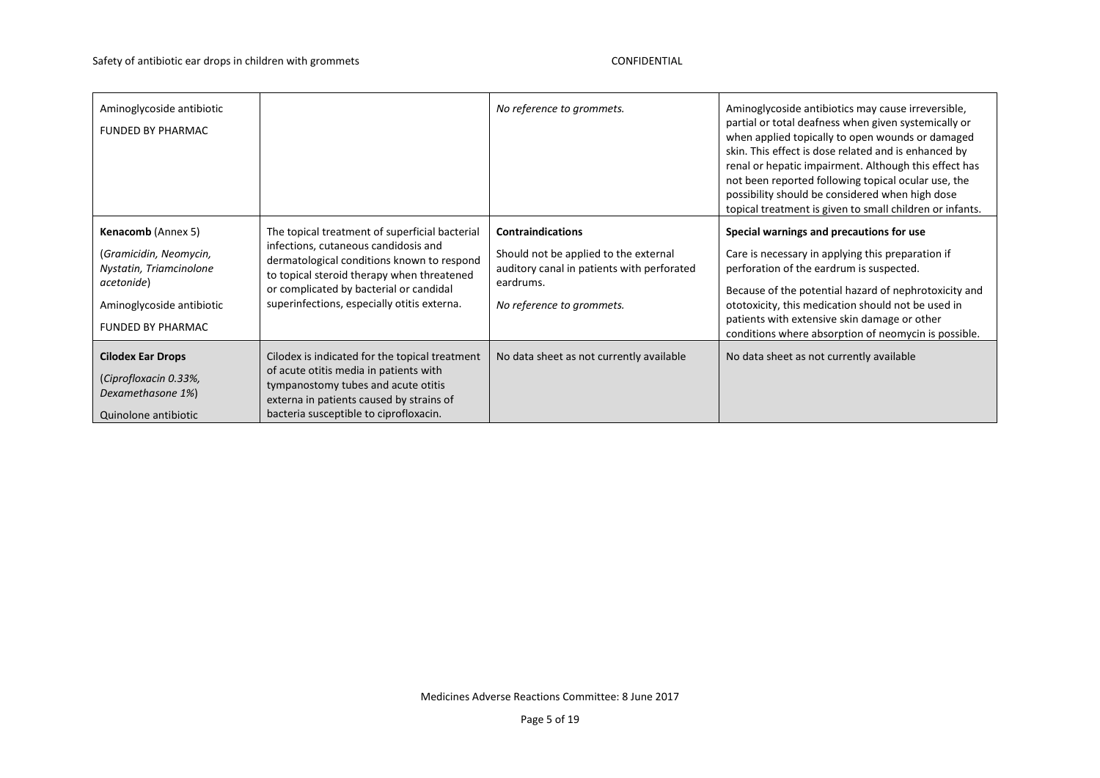| Aminoglycoside antibiotic<br><b>FUNDED BY PHARMAC</b>                                                                                                 |                                                                                                                                                                                                                                                                              | No reference to grommets.                                                                                                                                 | Aminoglycoside antibiotics may cause irreversible,<br>partial or total deafness when given systemically or<br>when applied topically to open wounds or damaged<br>skin. This effect is dose related and is enhanced by<br>renal or hepatic impairment. Although this effect has<br>not been reported following topical ocular use, the<br>possibility should be considered when high dose<br>topical treatment is given to small children or infants. |
|-------------------------------------------------------------------------------------------------------------------------------------------------------|------------------------------------------------------------------------------------------------------------------------------------------------------------------------------------------------------------------------------------------------------------------------------|-----------------------------------------------------------------------------------------------------------------------------------------------------------|-------------------------------------------------------------------------------------------------------------------------------------------------------------------------------------------------------------------------------------------------------------------------------------------------------------------------------------------------------------------------------------------------------------------------------------------------------|
| <b>Kenacomb</b> (Annex 5)<br>(Gramicidin, Neomycin,<br>Nystatin, Triamcinolone<br>acetonide)<br>Aminoglycoside antibiotic<br><b>FUNDED BY PHARMAC</b> | The topical treatment of superficial bacterial<br>infections, cutaneous candidosis and<br>dermatological conditions known to respond<br>to topical steroid therapy when threatened<br>or complicated by bacterial or candidal<br>superinfections, especially otitis externa. | <b>Contraindications</b><br>Should not be applied to the external<br>auditory canal in patients with perforated<br>eardrums.<br>No reference to grommets. | Special warnings and precautions for use<br>Care is necessary in applying this preparation if<br>perforation of the eardrum is suspected.<br>Because of the potential hazard of nephrotoxicity and<br>ototoxicity, this medication should not be used in<br>patients with extensive skin damage or other<br>conditions where absorption of neomycin is possible.                                                                                      |
| <b>Cilodex Ear Drops</b><br>(Ciprofloxacin 0.33%,<br>Dexamethasone 1%)<br>Quinolone antibiotic                                                        | Cilodex is indicated for the topical treatment<br>of acute otitis media in patients with<br>tympanostomy tubes and acute otitis<br>externa in patients caused by strains of<br>bacteria susceptible to ciprofloxacin.                                                        | No data sheet as not currently available                                                                                                                  | No data sheet as not currently available                                                                                                                                                                                                                                                                                                                                                                                                              |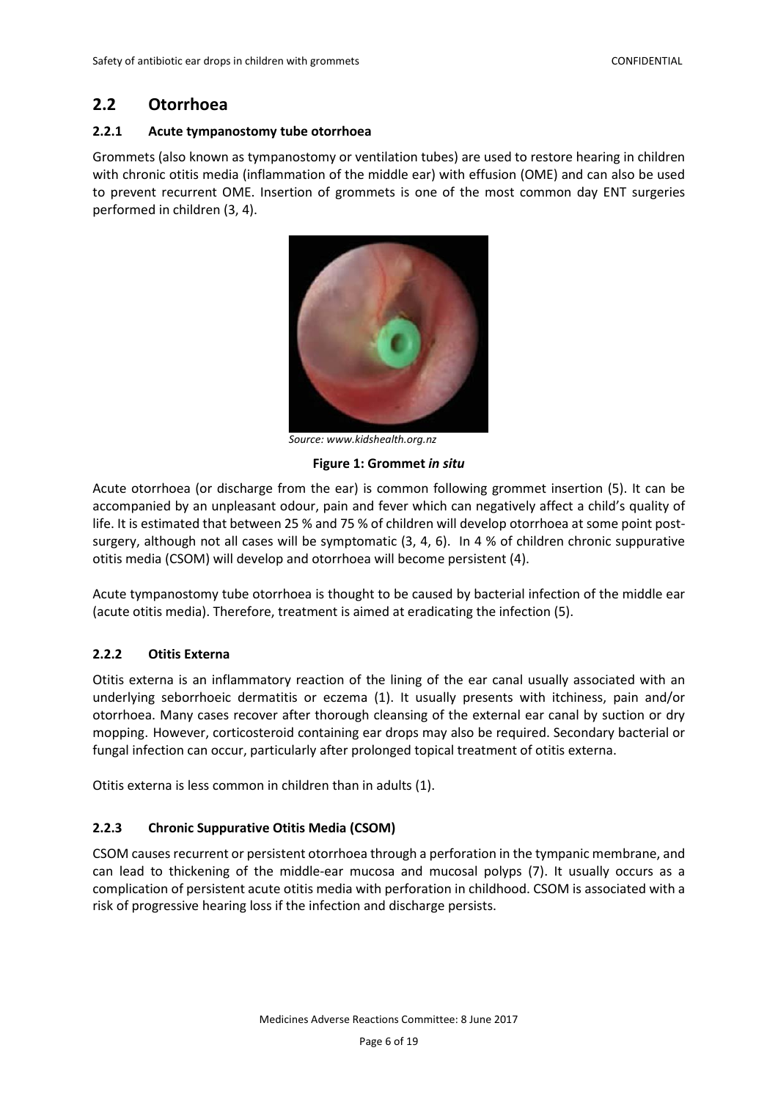## <span id="page-5-0"></span>**2.2 Otorrhoea**

#### <span id="page-5-1"></span>**2.2.1 Acute tympanostomy tube otorrhoea**

Grommets (also known as tympanostomy or ventilation tubes) are used to restore hearing in children with chronic otitis media (inflammation of the middle ear) with effusion (OME) and can also be used to prevent recurrent OME. Insertion of grommets is one of the most common day ENT surgeries performed in children (3, 4).



*Source: www.kidshealth.org.nz* 

#### **Figure 1: Grommet** *in situ*

Acute otorrhoea (or discharge from the ear) is common following grommet insertion (5). It can be accompanied by an unpleasant odour, pain and fever which can negatively affect a child's quality of life. It is estimated that between 25 % and 75 % of children will develop otorrhoea at some point postsurgery, although not all cases will be symptomatic (3, 4, 6). In 4 % of children chronic suppurative otitis media (CSOM) will develop and otorrhoea will become persistent (4).

Acute tympanostomy tube otorrhoea is thought to be caused by bacterial infection of the middle ear (acute otitis media). Therefore, treatment is aimed at eradicating the infection (5).

### <span id="page-5-2"></span>**2.2.2 Otitis Externa**

Otitis externa is an inflammatory reaction of the lining of the ear canal usually associated with an underlying seborrhoeic dermatitis or eczema (1). It usually presents with itchiness, pain and/or otorrhoea. Many cases recover after thorough cleansing of the external ear canal by suction or dry mopping. However, corticosteroid containing ear drops may also be required. Secondary bacterial or fungal infection can occur, particularly after prolonged topical treatment of otitis externa.

Otitis externa is less common in children than in adults (1).

### <span id="page-5-3"></span>**2.2.3 Chronic Suppurative Otitis Media (CSOM)**

CSOM causes recurrent or persistent otorrhoea through a perforation in the tympanic membrane, and can lead to thickening of the middle-ear mucosa and mucosal polyps (7). It usually occurs as a complication of persistent acute otitis media with perforation in childhood. CSOM is associated with a risk of progressive hearing loss if the infection and discharge persists.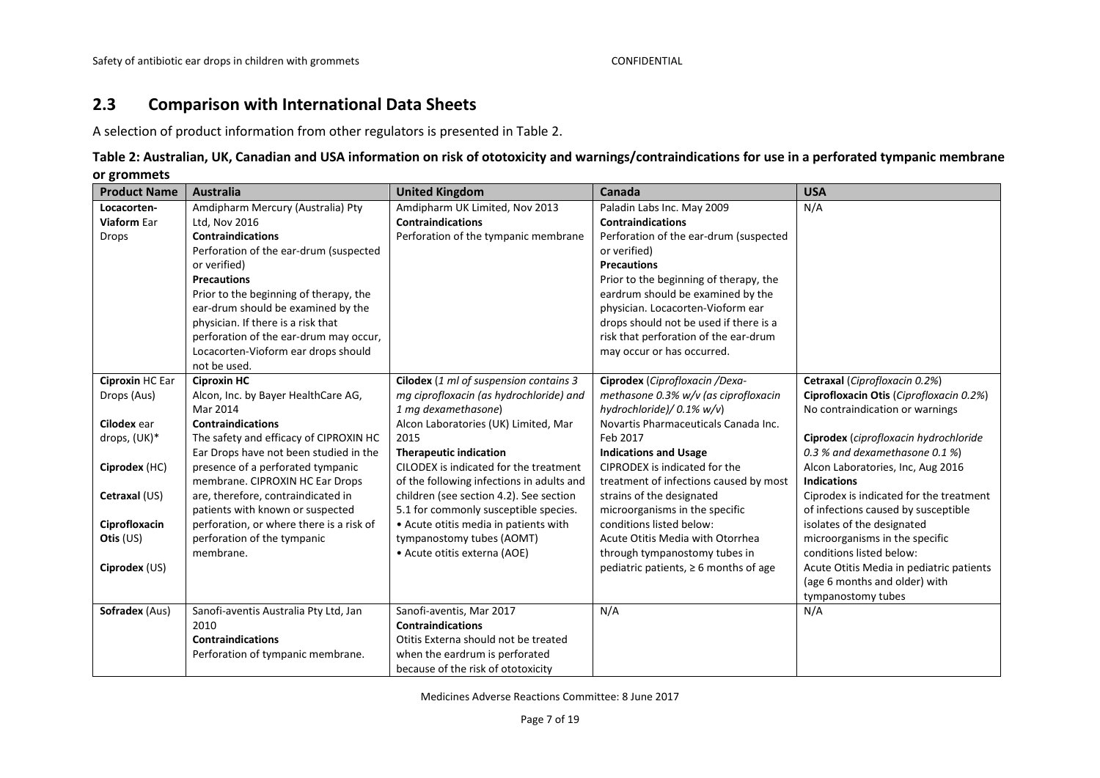# **2.3 Comparison with International Data Sheets**

A selection of product information from other regulators is presented in Table 2.

## **Table 2: Australian, UK, Canadian and USA information on risk of ototoxicity and warnings/contraindications for use in a perforated tympanic membrane or grommets**

<span id="page-6-0"></span>

| <b>Product Name</b> | <b>Australia</b>                         | <b>United Kingdom</b>                     | Canada                                     | <b>USA</b>                               |
|---------------------|------------------------------------------|-------------------------------------------|--------------------------------------------|------------------------------------------|
| Locacorten-         | Amdipharm Mercury (Australia) Pty        | Amdipharm UK Limited, Nov 2013            | Paladin Labs Inc. May 2009                 | N/A                                      |
| <b>Viaform Ear</b>  | Ltd, Nov 2016                            | <b>Contraindications</b>                  | <b>Contraindications</b>                   |                                          |
| Drops               | <b>Contraindications</b>                 | Perforation of the tympanic membrane      | Perforation of the ear-drum (suspected     |                                          |
|                     | Perforation of the ear-drum (suspected   |                                           | or verified)                               |                                          |
|                     | or verified)                             |                                           | <b>Precautions</b>                         |                                          |
|                     | <b>Precautions</b>                       |                                           | Prior to the beginning of therapy, the     |                                          |
|                     | Prior to the beginning of therapy, the   |                                           | eardrum should be examined by the          |                                          |
|                     | ear-drum should be examined by the       |                                           | physician. Locacorten-Vioform ear          |                                          |
|                     | physician. If there is a risk that       |                                           | drops should not be used if there is a     |                                          |
|                     | perforation of the ear-drum may occur,   |                                           | risk that perforation of the ear-drum      |                                          |
|                     | Locacorten-Vioform ear drops should      |                                           | may occur or has occurred.                 |                                          |
|                     | not be used.                             |                                           |                                            |                                          |
| Ciproxin HC Ear     | <b>Ciproxin HC</b>                       | Cilodex (1 ml of suspension contains 3    | Ciprodex (Ciprofloxacin /Dexa-             | Cetraxal (Ciprofloxacin 0.2%)            |
| Drops (Aus)         | Alcon, Inc. by Bayer HealthCare AG,      | mg ciprofloxacin (as hydrochloride) and   | methasone 0.3% w/v (as ciprofloxacin       | Ciprofloxacin Otis (Ciprofloxacin 0.2%)  |
|                     | Mar 2014                                 | 1 mg dexamethasone)                       | hydrochloride)/ 0.1% w/v)                  | No contraindication or warnings          |
| Cilodex ear         | <b>Contraindications</b>                 | Alcon Laboratories (UK) Limited, Mar      | Novartis Pharmaceuticals Canada Inc.       |                                          |
| drops, (UK)*        | The safety and efficacy of CIPROXIN HC   | 2015                                      | Feb 2017                                   | Ciprodex (ciprofloxacin hydrochloride    |
|                     | Ear Drops have not been studied in the   | <b>Therapeutic indication</b>             | <b>Indications and Usage</b>               | 0.3 % and dexamethasone 0.1 %)           |
| Ciprodex (HC)       | presence of a perforated tympanic        | CILODEX is indicated for the treatment    | CIPRODEX is indicated for the              | Alcon Laboratories, Inc, Aug 2016        |
|                     | membrane. CIPROXIN HC Ear Drops          | of the following infections in adults and | treatment of infections caused by most     | <b>Indications</b>                       |
| Cetraxal (US)       | are, therefore, contraindicated in       | children (see section 4.2). See section   | strains of the designated                  | Ciprodex is indicated for the treatment  |
|                     | patients with known or suspected         | 5.1 for commonly susceptible species.     | microorganisms in the specific             | of infections caused by susceptible      |
| Ciprofloxacin       | perforation, or where there is a risk of | • Acute otitis media in patients with     | conditions listed below:                   | isolates of the designated               |
| Otis (US)           | perforation of the tympanic              | tympanostomy tubes (AOMT)                 | Acute Otitis Media with Otorrhea           | microorganisms in the specific           |
|                     | membrane.                                | • Acute otitis externa (AOE)              | through tympanostomy tubes in              | conditions listed below:                 |
| Ciprodex (US)       |                                          |                                           | pediatric patients, $\geq 6$ months of age | Acute Otitis Media in pediatric patients |
|                     |                                          |                                           |                                            | (age 6 months and older) with            |
|                     |                                          |                                           |                                            | tympanostomy tubes                       |
| Sofradex (Aus)      | Sanofi-aventis Australia Pty Ltd, Jan    | Sanofi-aventis, Mar 2017                  | N/A                                        | N/A                                      |
|                     | 2010                                     | <b>Contraindications</b>                  |                                            |                                          |
|                     | <b>Contraindications</b>                 | Otitis Externa should not be treated      |                                            |                                          |
|                     | Perforation of tympanic membrane.        | when the eardrum is perforated            |                                            |                                          |
|                     |                                          | because of the risk of ototoxicity        |                                            |                                          |

Medicines Adverse Reactions Committee: 8 June 2017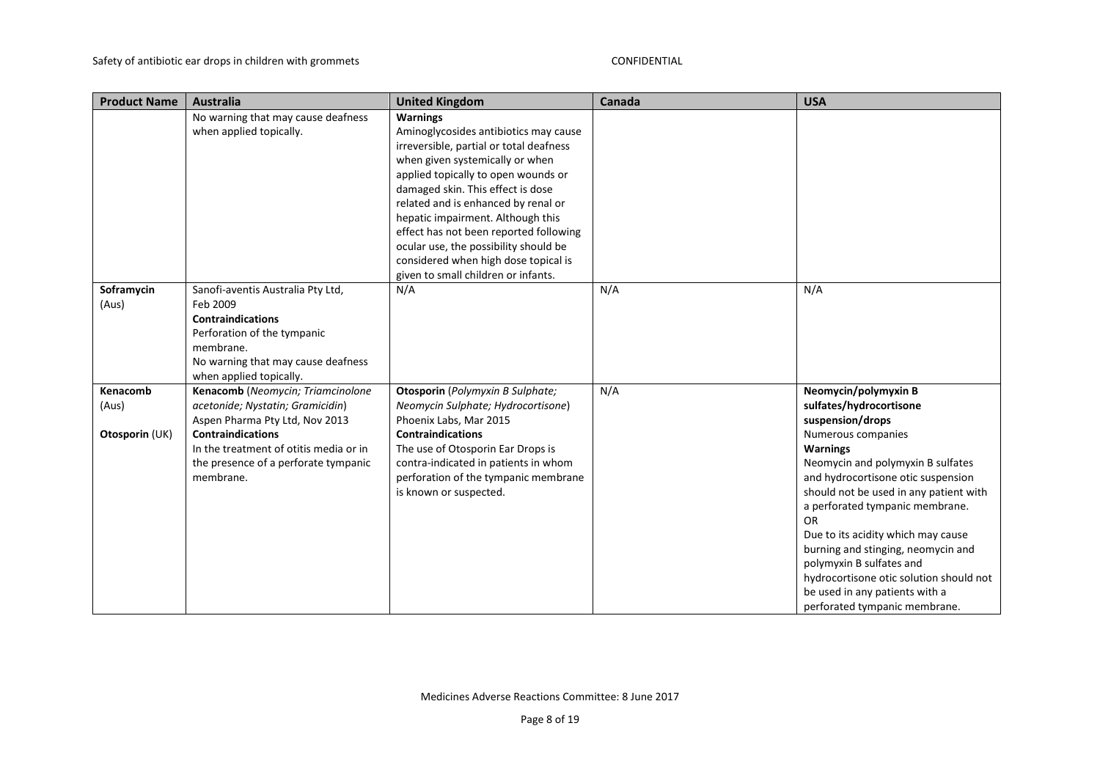| <b>Product Name</b>                 | <b>Australia</b>                                                                                                                                                                                                                   | <b>United Kingdom</b>                                                                                                                                                                                                                                                                                                                                                                                                                                            | Canada | <b>USA</b>                                                                                                                                                                                                                                                                                                                                                                                                                                                                                              |
|-------------------------------------|------------------------------------------------------------------------------------------------------------------------------------------------------------------------------------------------------------------------------------|------------------------------------------------------------------------------------------------------------------------------------------------------------------------------------------------------------------------------------------------------------------------------------------------------------------------------------------------------------------------------------------------------------------------------------------------------------------|--------|---------------------------------------------------------------------------------------------------------------------------------------------------------------------------------------------------------------------------------------------------------------------------------------------------------------------------------------------------------------------------------------------------------------------------------------------------------------------------------------------------------|
|                                     | No warning that may cause deafness<br>when applied topically.                                                                                                                                                                      | <b>Warnings</b><br>Aminoglycosides antibiotics may cause<br>irreversible, partial or total deafness<br>when given systemically or when<br>applied topically to open wounds or<br>damaged skin. This effect is dose<br>related and is enhanced by renal or<br>hepatic impairment. Although this<br>effect has not been reported following<br>ocular use, the possibility should be<br>considered when high dose topical is<br>given to small children or infants. |        |                                                                                                                                                                                                                                                                                                                                                                                                                                                                                                         |
| Soframycin<br>(Aus)                 | Sanofi-aventis Australia Pty Ltd,<br>Feb 2009<br><b>Contraindications</b><br>Perforation of the tympanic<br>membrane.<br>No warning that may cause deafness<br>when applied topically.                                             | N/A                                                                                                                                                                                                                                                                                                                                                                                                                                                              | N/A    | N/A                                                                                                                                                                                                                                                                                                                                                                                                                                                                                                     |
| Kenacomb<br>(Aus)<br>Otosporin (UK) | Kenacomb (Neomycin; Triamcinolone<br>acetonide; Nystatin; Gramicidin)<br>Aspen Pharma Pty Ltd, Nov 2013<br><b>Contraindications</b><br>In the treatment of otitis media or in<br>the presence of a perforate tympanic<br>membrane. | Otosporin (Polymyxin B Sulphate;<br>Neomycin Sulphate; Hydrocortisone)<br>Phoenix Labs, Mar 2015<br><b>Contraindications</b><br>The use of Otosporin Ear Drops is<br>contra-indicated in patients in whom<br>perforation of the tympanic membrane<br>is known or suspected.                                                                                                                                                                                      | N/A    | Neomycin/polymyxin B<br>sulfates/hydrocortisone<br>suspension/drops<br>Numerous companies<br><b>Warnings</b><br>Neomycin and polymyxin B sulfates<br>and hydrocortisone otic suspension<br>should not be used in any patient with<br>a perforated tympanic membrane.<br><b>OR</b><br>Due to its acidity which may cause<br>burning and stinging, neomycin and<br>polymyxin B sulfates and<br>hydrocortisone otic solution should not<br>be used in any patients with a<br>perforated tympanic membrane. |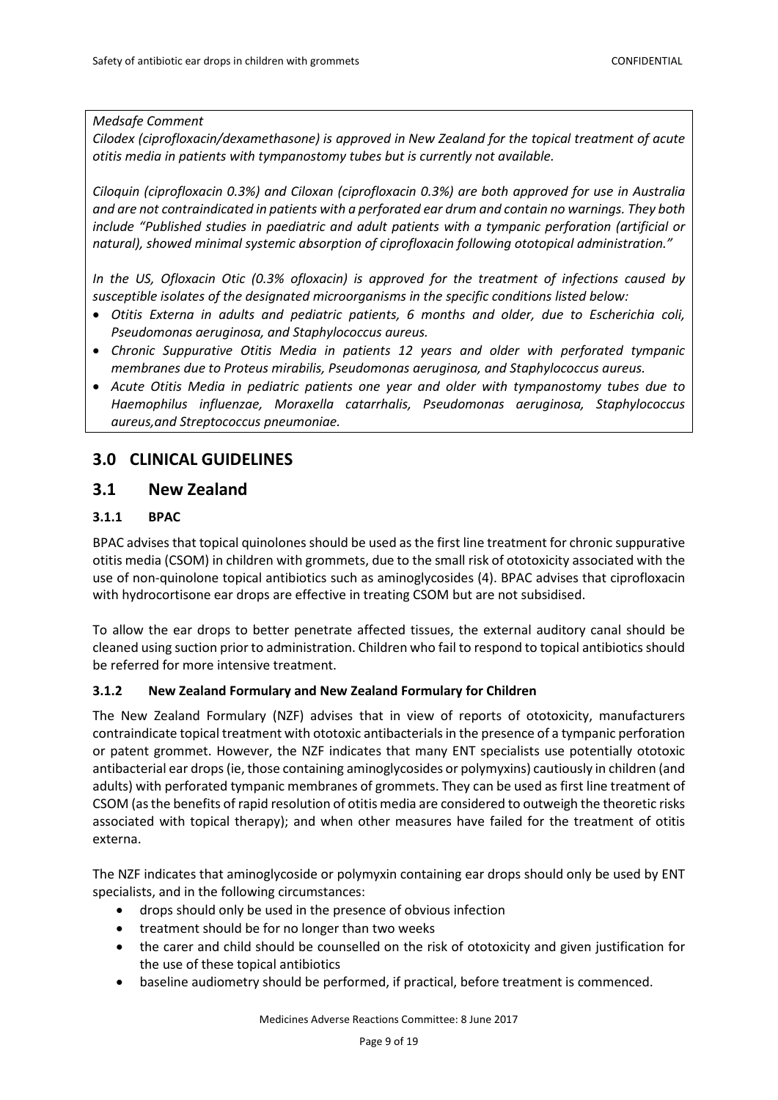*Medsafe Comment*

*Cilodex (ciprofloxacin/dexamethasone) is approved in New Zealand for the topical treatment of acute otitis media in patients with tympanostomy tubes but is currently not available.*

*Ciloquin (ciprofloxacin 0.3%) and Ciloxan (ciprofloxacin 0.3%) are both approved for use in Australia and are not contraindicated in patients with a perforated ear drum and contain no warnings. They both include "Published studies in paediatric and adult patients with a tympanic perforation (artificial or natural), showed minimal systemic absorption of ciprofloxacin following ototopical administration."*

*In the US, Ofloxacin Otic (0.3% ofloxacin) is approved for the treatment of infections caused by susceptible isolates of the designated microorganisms in the specific conditions listed below:*

- *Otitis Externa in adults and pediatric patients, 6 months and older, due to Escherichia coli, Pseudomonas aeruginosa, and Staphylococcus aureus.*
- *Chronic Suppurative Otitis Media in patients 12 years and older with perforated tympanic membranes due to Proteus mirabilis, Pseudomonas aeruginosa, and Staphylococcus aureus.*
- *Acute Otitis Media in pediatric patients one year and older with tympanostomy tubes due to Haemophilus influenzae, Moraxella catarrhalis, Pseudomonas aeruginosa, Staphylococcus aureus,and Streptococcus pneumoniae.*

## <span id="page-8-0"></span>**3.0 CLINICAL GUIDELINES**

## <span id="page-8-1"></span>**3.1 New Zealand**

### <span id="page-8-2"></span>**3.1.1 BPAC**

BPAC advises that topical quinolones should be used as the first line treatment for chronic suppurative otitis media (CSOM) in children with grommets, due to the small risk of ototoxicity associated with the use of non-quinolone topical antibiotics such as aminoglycosides (4). BPAC advises that ciprofloxacin with hydrocortisone ear drops are effective in treating CSOM but are not subsidised.

To allow the ear drops to better penetrate affected tissues, the external auditory canal should be cleaned using suction prior to administration. Children who fail to respond to topical antibiotics should be referred for more intensive treatment.

### <span id="page-8-3"></span>**3.1.2 New Zealand Formulary and New Zealand Formulary for Children**

The New Zealand Formulary (NZF) advises that in view of reports of ototoxicity, manufacturers contraindicate topical treatment with ototoxic antibacterials in the presence of a tympanic perforation or patent grommet. However, the NZF indicates that many ENT specialists use potentially ototoxic antibacterial ear drops (ie, those containing aminoglycosides or polymyxins) cautiously in children (and adults) with perforated tympanic membranes of grommets. They can be used as first line treatment of CSOM (as the benefits of rapid resolution of otitis media are considered to outweigh the theoretic risks associated with topical therapy); and when other measures have failed for the treatment of otitis externa.

The NZF indicates that aminoglycoside or polymyxin containing ear drops should only be used by ENT specialists, and in the following circumstances:

- drops should only be used in the presence of obvious infection
- treatment should be for no longer than two weeks
- the carer and child should be counselled on the risk of ototoxicity and given justification for the use of these topical antibiotics
- baseline audiometry should be performed, if practical, before treatment is commenced.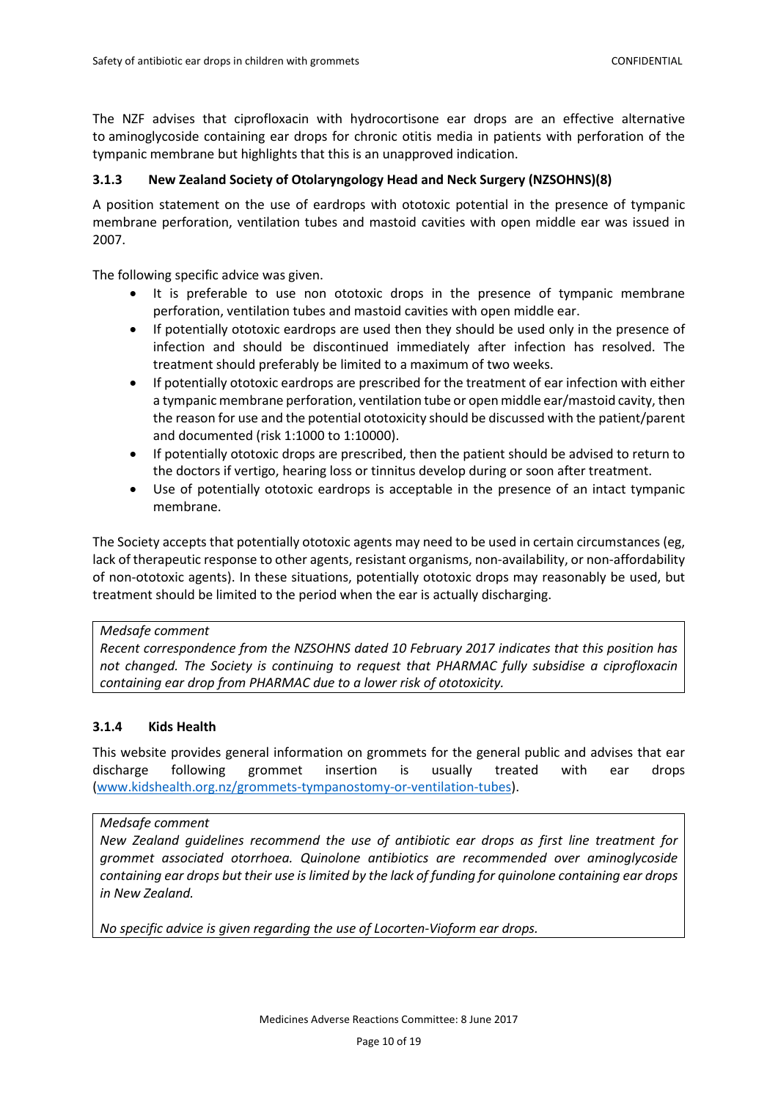The NZF advises that ciprofloxacin with hydrocortisone ear drops are an effective alternative to aminoglycoside containing ear drops for chronic otitis media in patients with perforation of the tympanic membrane but highlights that this is an unapproved indication.

### <span id="page-9-0"></span>**3.1.3 New Zealand Society of Otolaryngology Head and Neck Surgery (NZSOHNS)(8)**

A position statement on the use of eardrops with ototoxic potential in the presence of tympanic membrane perforation, ventilation tubes and mastoid cavities with open middle ear was issued in 2007.

The following specific advice was given.

- It is preferable to use non ototoxic drops in the presence of tympanic membrane perforation, ventilation tubes and mastoid cavities with open middle ear.
- If potentially ototoxic eardrops are used then they should be used only in the presence of infection and should be discontinued immediately after infection has resolved. The treatment should preferably be limited to a maximum of two weeks.
- If potentially ototoxic eardrops are prescribed for the treatment of ear infection with either a tympanic membrane perforation, ventilation tube or open middle ear/mastoid cavity, then the reason for use and the potential ototoxicity should be discussed with the patient/parent and documented (risk 1:1000 to 1:10000).
- If potentially ototoxic drops are prescribed, then the patient should be advised to return to the doctors if vertigo, hearing loss or tinnitus develop during or soon after treatment.
- Use of potentially ototoxic eardrops is acceptable in the presence of an intact tympanic membrane.

The Society accepts that potentially ototoxic agents may need to be used in certain circumstances (eg, lack of therapeutic response to other agents, resistant organisms, non-availability, or non-affordability of non-ototoxic agents). In these situations, potentially ototoxic drops may reasonably be used, but treatment should be limited to the period when the ear is actually discharging.

#### *Medsafe comment*

*Recent correspondence from the NZSOHNS dated 10 February 2017 indicates that this position has not changed. The Society is continuing to request that PHARMAC fully subsidise a ciprofloxacin containing ear drop from PHARMAC due to a lower risk of ototoxicity.*

#### <span id="page-9-1"></span>**3.1.4 Kids Health**

This website provides general information on grommets for the general public and advises that ear discharge following grommet insertion is usually treated with ear drops [\(www.kidshealth.org.nz/grommets-tympanostomy-or-ventilation-tubes\)](http://www.kidshealth.org.nz/grommets-tympanostomy-or-ventilation-tubes).

#### *Medsafe comment*

*New Zealand guidelines recommend the use of antibiotic ear drops as first line treatment for grommet associated otorrhoea. Quinolone antibiotics are recommended over aminoglycoside containing ear drops but their use is limited by the lack of funding for quinolone containing ear drops in New Zealand.* 

*No specific advice is given regarding the use of Locorten-Vioform ear drops.*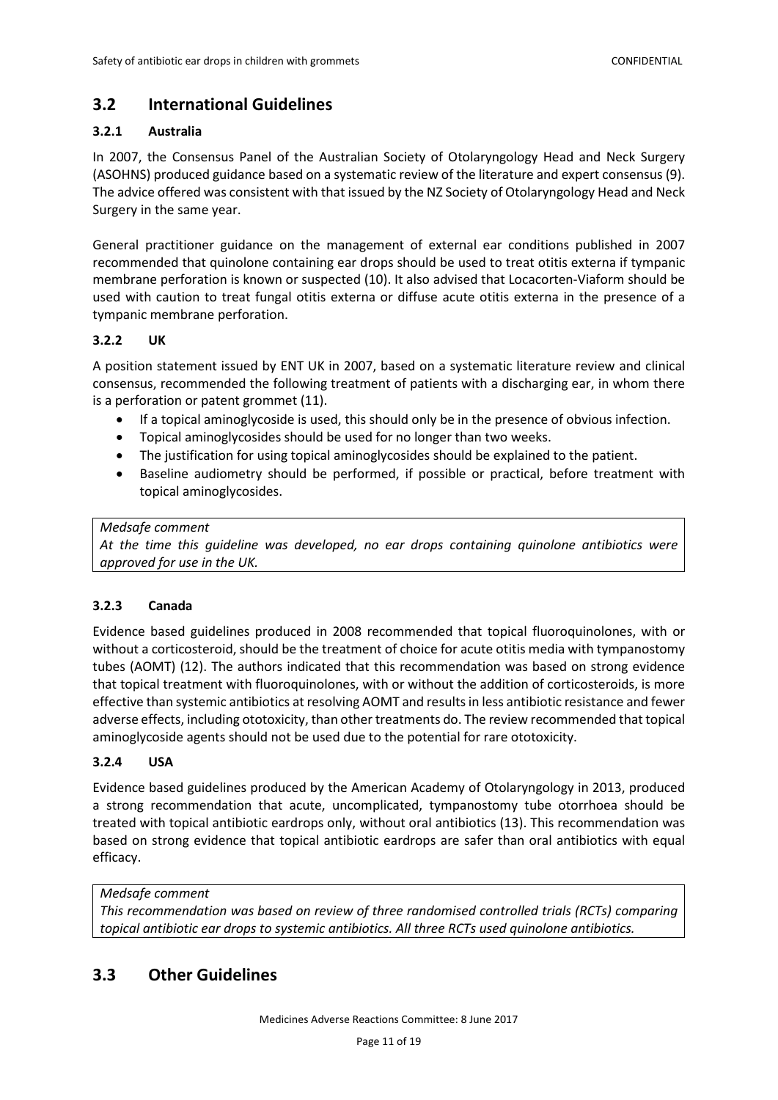# <span id="page-10-0"></span>**3.2 International Guidelines**

## <span id="page-10-1"></span>**3.2.1 Australia**

In 2007, the Consensus Panel of the Australian Society of Otolaryngology Head and Neck Surgery (ASOHNS) produced guidance based on a systematic review of the literature and expert consensus (9). The advice offered was consistent with that issued by the NZ Society of Otolaryngology Head and Neck Surgery in the same year.

General practitioner guidance on the management of external ear conditions published in 2007 recommended that quinolone containing ear drops should be used to treat otitis externa if tympanic membrane perforation is known or suspected (10). It also advised that Locacorten-Viaform should be used with caution to treat fungal otitis externa or diffuse acute otitis externa in the presence of a tympanic membrane perforation.

## <span id="page-10-2"></span>**3.2.2 UK**

A position statement issued by ENT UK in 2007, based on a systematic literature review and clinical consensus, recommended the following treatment of patients with a discharging ear, in whom there is a perforation or patent grommet (11).

- If a topical aminoglycoside is used, this should only be in the presence of obvious infection.
- Topical aminoglycosides should be used for no longer than two weeks.
- The justification for using topical aminoglycosides should be explained to the patient.
- Baseline audiometry should be performed, if possible or practical, before treatment with topical aminoglycosides.

#### *Medsafe comment*

*At the time this guideline was developed, no ear drops containing quinolone antibiotics were approved for use in the UK.*

### <span id="page-10-3"></span>**3.2.3 Canada**

Evidence based guidelines produced in 2008 recommended that topical fluoroquinolones, with or without a corticosteroid, should be the treatment of choice for acute otitis media with tympanostomy tubes (AOMT) (12). The authors indicated that this recommendation was based on strong evidence that topical treatment with fluoroquinolones, with or without the addition of corticosteroids, is more effective than systemic antibiotics at resolving AOMT and results in less antibiotic resistance and fewer adverse effects, including ototoxicity, than other treatments do. The review recommended that topical aminoglycoside agents should not be used due to the potential for rare ototoxicity.

### <span id="page-10-4"></span>**3.2.4 USA**

Evidence based guidelines produced by the American Academy of Otolaryngology in 2013, produced a strong recommendation that acute, uncomplicated, tympanostomy tube otorrhoea should be treated with topical antibiotic eardrops only, without oral antibiotics (13). This recommendation was based on strong evidence that topical antibiotic eardrops are safer than oral antibiotics with equal efficacy.

### *Medsafe comment*

*This recommendation was based on review of three randomised controlled trials (RCTs) comparing topical antibiotic ear drops to systemic antibiotics. All three RCTs used quinolone antibiotics.*

# <span id="page-10-5"></span>**3.3 Other Guidelines**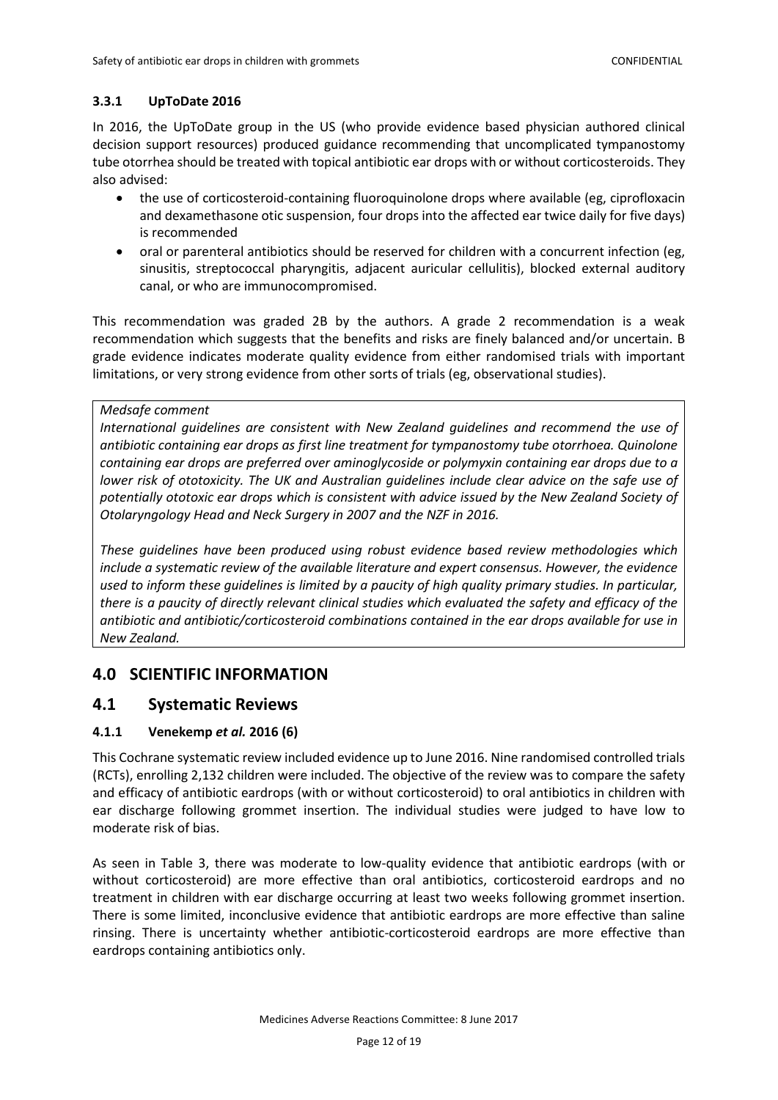## <span id="page-11-0"></span>**3.3.1 UpToDate 2016**

In 2016, the UpToDate group in the US (who provide evidence based physician authored clinical decision support resources) produced guidance recommending that uncomplicated tympanostomy tube otorrhea should be treated with topical antibiotic ear drops with or without corticosteroids. They also advised:

- the use of corticosteroid-containing fluoroquinolone drops where available (eg, ciprofloxacin and dexamethasone otic suspension, four drops into the affected ear twice daily for five days) is recommended
- oral or parenteral antibiotics should be reserved for children with a concurrent infection (eg, sinusitis, streptococcal pharyngitis, adjacent auricular cellulitis), blocked external auditory canal, or who are immunocompromised.

This recommendation was graded 2B by the authors. A grade 2 recommendation is a weak recommendation which suggests that the benefits and risks are finely balanced and/or uncertain. B grade evidence indicates moderate quality evidence from either randomised trials with important limitations, or very strong evidence from other sorts of trials (eg, observational studies).

### *Medsafe comment*

*International guidelines are consistent with New Zealand guidelines and recommend the use of antibiotic containing ear drops as first line treatment for tympanostomy tube otorrhoea. Quinolone containing ear drops are preferred over aminoglycoside or polymyxin containing ear drops due to a lower risk of ototoxicity. The UK and Australian guidelines include clear advice on the safe use of potentially ototoxic ear drops which is consistent with advice issued by the New Zealand Society of Otolaryngology Head and Neck Surgery in 2007 and the NZF in 2016.* 

*These guidelines have been produced using robust evidence based review methodologies which include a systematic review of the available literature and expert consensus. However, the evidence used to inform these guidelines is limited by a paucity of high quality primary studies. In particular, there is a paucity of directly relevant clinical studies which evaluated the safety and efficacy of the antibiotic and antibiotic/corticosteroid combinations contained in the ear drops available for use in New Zealand.*

# <span id="page-11-1"></span>**4.0 SCIENTIFIC INFORMATION**

## <span id="page-11-2"></span>**4.1 Systematic Reviews**

## <span id="page-11-3"></span>**4.1.1 Venekemp** *et al.* **2016 (6)**

This Cochrane systematic review included evidence up to June 2016. Nine randomised controlled trials (RCTs), enrolling 2,132 children were included. The objective of the review was to compare the safety and efficacy of antibiotic eardrops (with or without corticosteroid) to oral antibiotics in children with ear discharge following grommet insertion. The individual studies were judged to have low to moderate risk of bias.

As seen in Table 3, there was moderate to low-quality evidence that antibiotic eardrops (with or without corticosteroid) are more effective than oral antibiotics, corticosteroid eardrops and no treatment in children with ear discharge occurring at least two weeks following grommet insertion. There is some limited, inconclusive evidence that antibiotic eardrops are more effective than saline rinsing. There is uncertainty whether antibiotic-corticosteroid eardrops are more effective than eardrops containing antibiotics only.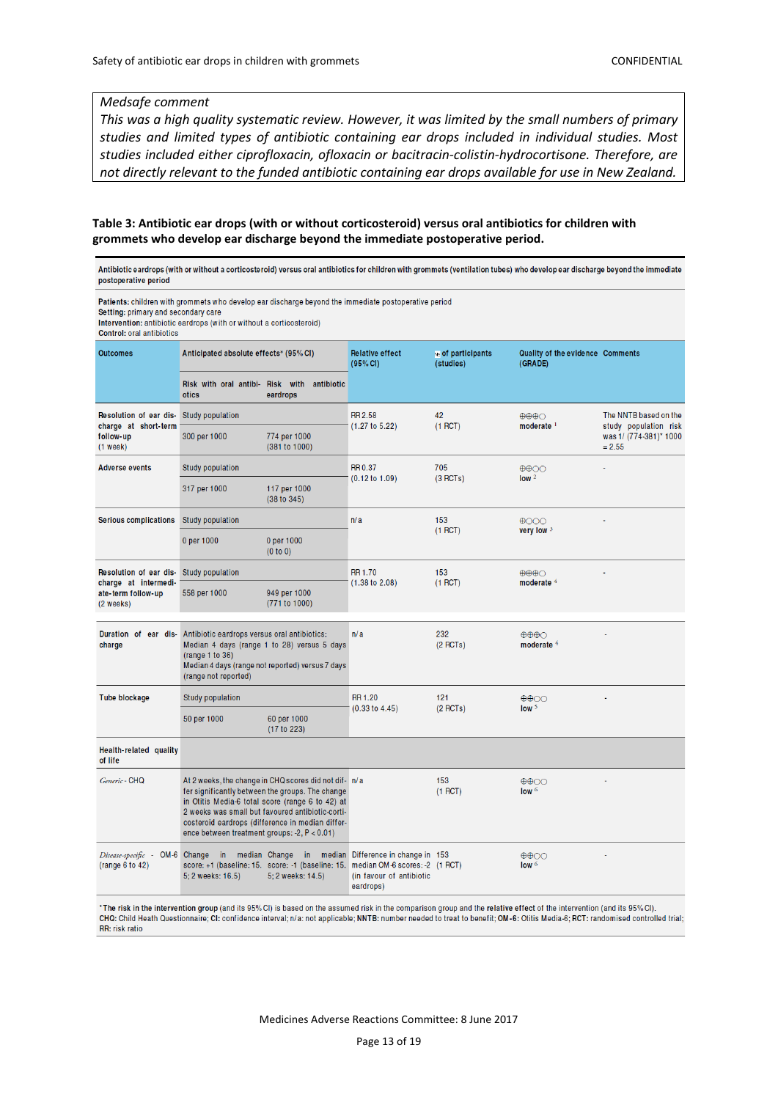#### *Medsafe comment*

*This was a high quality systematic review. However, it was limited by the small numbers of primary studies and limited types of antibiotic containing ear drops included in individual studies. Most studies included either ciprofloxacin, ofloxacin or bacitracin-colistin-hydrocortisone. Therefore, are not directly relevant to the funded antibiotic containing ear drops available for use in New Zealand.* 

#### **Table 3: Antibiotic ear drops (with or without corticosteroid) versus oral antibiotics for children with grommets who develop ear discharge beyond the immediate postoperative period.**

Antibiotic eardrops (with or without a corticosteroid) versus oral antibiotics for children with grommets (ventilation tubes) who develop ear discharge beyond the immediate postoperative period

| Patients: children with grommets who develop ear discharge beyond the immediate postoperative period<br>Setting: primary and secondary care<br>Intervention: antibiotic eardrops (with or without a corticosteroid)<br><b>Control: oral antibiotics</b> |                                                                                                                                                                                                                                                                                                                       |                                    |                                                                                                                                                                    |                                 |                                                          |                                                |
|---------------------------------------------------------------------------------------------------------------------------------------------------------------------------------------------------------------------------------------------------------|-----------------------------------------------------------------------------------------------------------------------------------------------------------------------------------------------------------------------------------------------------------------------------------------------------------------------|------------------------------------|--------------------------------------------------------------------------------------------------------------------------------------------------------------------|---------------------------------|----------------------------------------------------------|------------------------------------------------|
| <b>Outcomes</b>                                                                                                                                                                                                                                         | Anticipated absolute effects* (95% CI)                                                                                                                                                                                                                                                                                |                                    | <b>Relative effect</b><br>(95% CI)                                                                                                                                 | No of participants<br>(studies) | Quality of the evidence Comments<br>(GRADE)              |                                                |
|                                                                                                                                                                                                                                                         | Risk with oral antibi- Risk with antibiotic<br>otics                                                                                                                                                                                                                                                                  | eardrops                           |                                                                                                                                                                    |                                 |                                                          |                                                |
| Resolution of ear dis-<br>charge at short-term<br>follow-up<br>(1 week)                                                                                                                                                                                 | Study population                                                                                                                                                                                                                                                                                                      |                                    | <b>RR 2.58</b><br>(1.27 to 5.22)                                                                                                                                   | 42<br>(1 RCT)                   | $\oplus \oplus \oplus \bigcirc$<br>moderate <sup>1</sup> | The NNTB based on the<br>study population risk |
|                                                                                                                                                                                                                                                         | 300 per 1000                                                                                                                                                                                                                                                                                                          | 774 per 1000<br>(381 to 1000)      |                                                                                                                                                                    |                                 |                                                          | was 1/ (774-381)* 1000<br>$= 2.55$             |
| <b>Adverse events</b>                                                                                                                                                                                                                                   | Study population                                                                                                                                                                                                                                                                                                      |                                    | <b>RR0.37</b><br>$(0.12 \text{ to } 1.09)$                                                                                                                         | 705<br>(3 RCTs)                 | $\oplus \oplus \odot \odot$<br>low <sup>2</sup>          |                                                |
|                                                                                                                                                                                                                                                         | 317 per 1000                                                                                                                                                                                                                                                                                                          | 117 per 1000<br>(38 to 345)        |                                                                                                                                                                    |                                 |                                                          |                                                |
| <b>Serious complications</b>                                                                                                                                                                                                                            | Study population                                                                                                                                                                                                                                                                                                      |                                    | n/a                                                                                                                                                                | 153<br>$(1$ RCT)                | $\bigoplus$ OOO<br>very low $3$                          |                                                |
|                                                                                                                                                                                                                                                         | 0 per 1000                                                                                                                                                                                                                                                                                                            | 0 per 1000<br>(0 to 0)             |                                                                                                                                                                    |                                 |                                                          |                                                |
| Resolution of ear dis-<br>charge at intermedi-                                                                                                                                                                                                          | Study population                                                                                                                                                                                                                                                                                                      |                                    | <b>RR 1.70</b><br>$(1.38 \text{ to } 2.08)$                                                                                                                        | 153<br>(1 RCT)                  | $\oplus \oplus \oplus \bigcirc$<br>moderate 4            |                                                |
| ate-term follow-up<br>(2 weeks)                                                                                                                                                                                                                         | 558 per 1000                                                                                                                                                                                                                                                                                                          | 949 per 1000<br>(771 to 1000)      |                                                                                                                                                                    |                                 |                                                          |                                                |
| charge                                                                                                                                                                                                                                                  | Duration of ear dis- Antibiotic eardrops versus oral antibiotics:<br>Median 4 days (range 1 to 28) versus 5 days<br>(range 1 to 36)<br>Median 4 days (range not reported) versus 7 days<br>(range not reported)                                                                                                       |                                    | n/a                                                                                                                                                                | 232<br>$(2$ RCTs)               | $\oplus \oplus \oplus \bigcirc$<br>moderate <sup>4</sup> |                                                |
| Tube blockage                                                                                                                                                                                                                                           | Study population                                                                                                                                                                                                                                                                                                      |                                    | <b>RR1.20</b>                                                                                                                                                      | 121                             | $\bigoplus$                                              |                                                |
|                                                                                                                                                                                                                                                         | 50 per 1000                                                                                                                                                                                                                                                                                                           | 60 per 1000<br>(17 to 223)         | $(0.33 \text{ to } 4.45)$                                                                                                                                          | $(2$ RCTs)                      | low <sup>5</sup>                                         |                                                |
| Health-related quality<br>of life                                                                                                                                                                                                                       |                                                                                                                                                                                                                                                                                                                       |                                    |                                                                                                                                                                    |                                 |                                                          |                                                |
| Generic - CHQ                                                                                                                                                                                                                                           | At 2 weeks, the change in CHQ scores did not dif- n/a<br>fer significantly between the groups. The change<br>in Otitis Media-6 total score (range 6 to 42) at<br>2 weeks was small but favoured antibiotic-corti-<br>costeroid eardrops (difference in median differ-<br>ence between treatment groups: -2, P < 0.01) |                                    |                                                                                                                                                                    | 153<br>(1 RCT)                  | ⊕⊕⊙<br>low $6$                                           |                                                |
| Disease-specific - OM-6 Change in<br>(range 6 to 42)                                                                                                                                                                                                    | 5; 2 weeks: 16.5)                                                                                                                                                                                                                                                                                                     | median Change<br>5; 2 weeks: 14.5) | in median Difference in change in 153<br>score: +1 (baseline: 15. score: -1 (baseline: 15. median OM-6 scores: -2 (1 RCT)<br>(in favour of antibiotic<br>eardrops) |                                 | $\oplus \oplus \odot$<br>low <sub>6</sub>                |                                                |
|                                                                                                                                                                                                                                                         |                                                                                                                                                                                                                                                                                                                       |                                    |                                                                                                                                                                    |                                 |                                                          |                                                |

\*The risk in the intervention group (and its 95%CI) is based on the assumed risk in the comparison group and the relative effect of the intervention (and its 95%CI). CHQ: Child Heath Questionnaire; CI: confidence interval; n/a: not applicable; NNTB: number needed to treat to benefit; OM-6: Otitis Media-6; RCT: randomised controlled trial; RR: risk ratio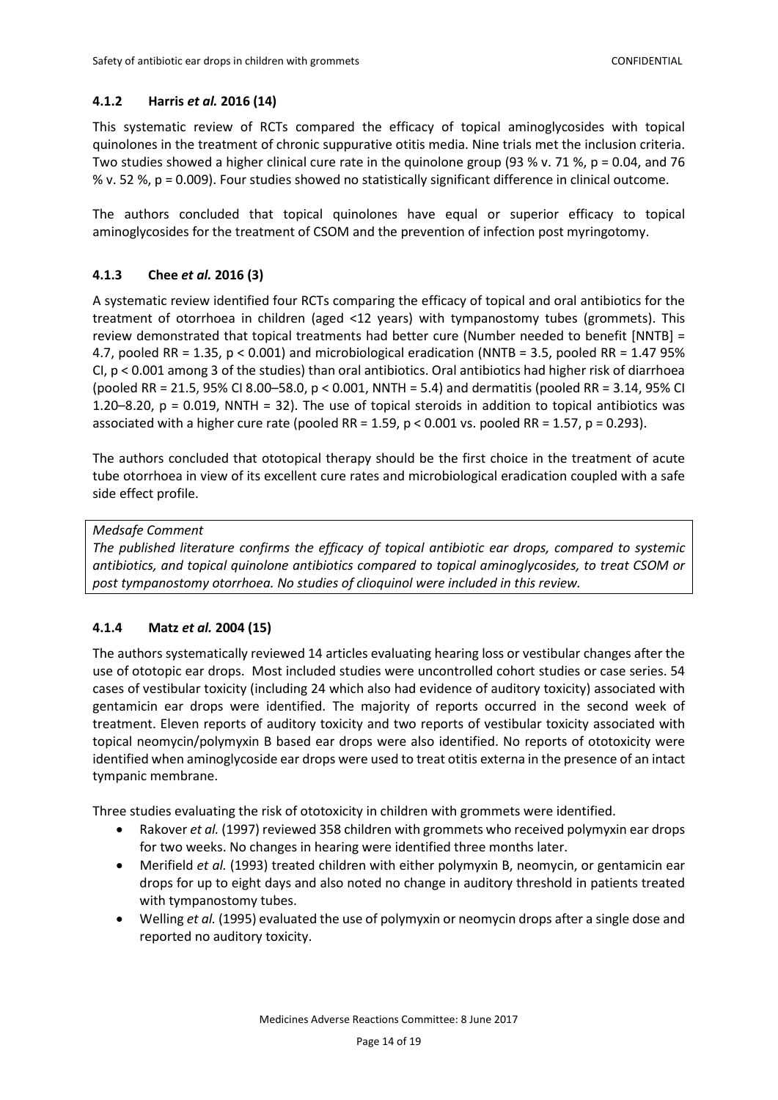#### <span id="page-13-0"></span>**4.1.2 Harris** *et al.* **2016 (14)**

This systematic review of RCTs compared the efficacy of topical aminoglycosides with topical quinolones in the treatment of chronic suppurative otitis media. Nine trials met the inclusion criteria. Two studies showed a higher clinical cure rate in the quinolone group (93 % v. 71 %, p = 0.04, and 76 % v. 52 %, p = 0.009). Four studies showed no statistically significant difference in clinical outcome.

The authors concluded that topical quinolones have equal or superior efficacy to topical aminoglycosides for the treatment of CSOM and the prevention of infection post myringotomy.

### <span id="page-13-1"></span>**4.1.3 Chee** *et al.* **2016 (3)**

A systematic review identified four RCTs comparing the efficacy of topical and oral antibiotics for the treatment of otorrhoea in children (aged <12 years) with tympanostomy tubes (grommets). This review demonstrated that topical treatments had better cure (Number needed to benefit [NNTB] = 4.7, pooled RR = 1.35, p < 0.001) and microbiological eradication (NNTB = 3.5, pooled RR = 1.47 95% CI, p < 0.001 among 3 of the studies) than oral antibiotics. Oral antibiotics had higher risk of diarrhoea (pooled RR = 21.5, 95% CI 8.00–58.0, p < 0.001, NNTH = 5.4) and dermatitis (pooled RR = 3.14, 95% CI 1.20–8.20, p = 0.019, NNTH = 32). The use of topical steroids in addition to topical antibiotics was associated with a higher cure rate (pooled RR =  $1.59$ , p < 0.001 vs. pooled RR =  $1.57$ , p = 0.293).

The authors concluded that ototopical therapy should be the first choice in the treatment of acute tube otorrhoea in view of its excellent cure rates and microbiological eradication coupled with a safe side effect profile.

#### *Medsafe Comment*

*The published literature confirms the efficacy of topical antibiotic ear drops, compared to systemic antibiotics, and topical quinolone antibiotics compared to topical aminoglycosides, to treat CSOM or post tympanostomy otorrhoea. No studies of clioquinol were included in this review.*

### <span id="page-13-2"></span>**4.1.4 Matz** *et al.* **2004 (15)**

The authors systematically reviewed 14 articles evaluating hearing loss or vestibular changes after the use of ototopic ear drops. Most included studies were uncontrolled cohort studies or case series. 54 cases of vestibular toxicity (including 24 which also had evidence of auditory toxicity) associated with gentamicin ear drops were identified. The majority of reports occurred in the second week of treatment. Eleven reports of auditory toxicity and two reports of vestibular toxicity associated with topical neomycin/polymyxin B based ear drops were also identified. No reports of ototoxicity were identified when aminoglycoside ear drops were used to treat otitis externa in the presence of an intact tympanic membrane.

Three studies evaluating the risk of ototoxicity in children with grommets were identified.

- Rakover *et al.* (1997) reviewed 358 children with grommets who received polymyxin ear drops for two weeks. No changes in hearing were identified three months later.
- Merifield *et al.* (1993) treated children with either polymyxin B, neomycin, or gentamicin ear drops for up to eight days and also noted no change in auditory threshold in patients treated with tympanostomy tubes.
- Welling *et al.* (1995) evaluated the use of polymyxin or neomycin drops after a single dose and reported no auditory toxicity.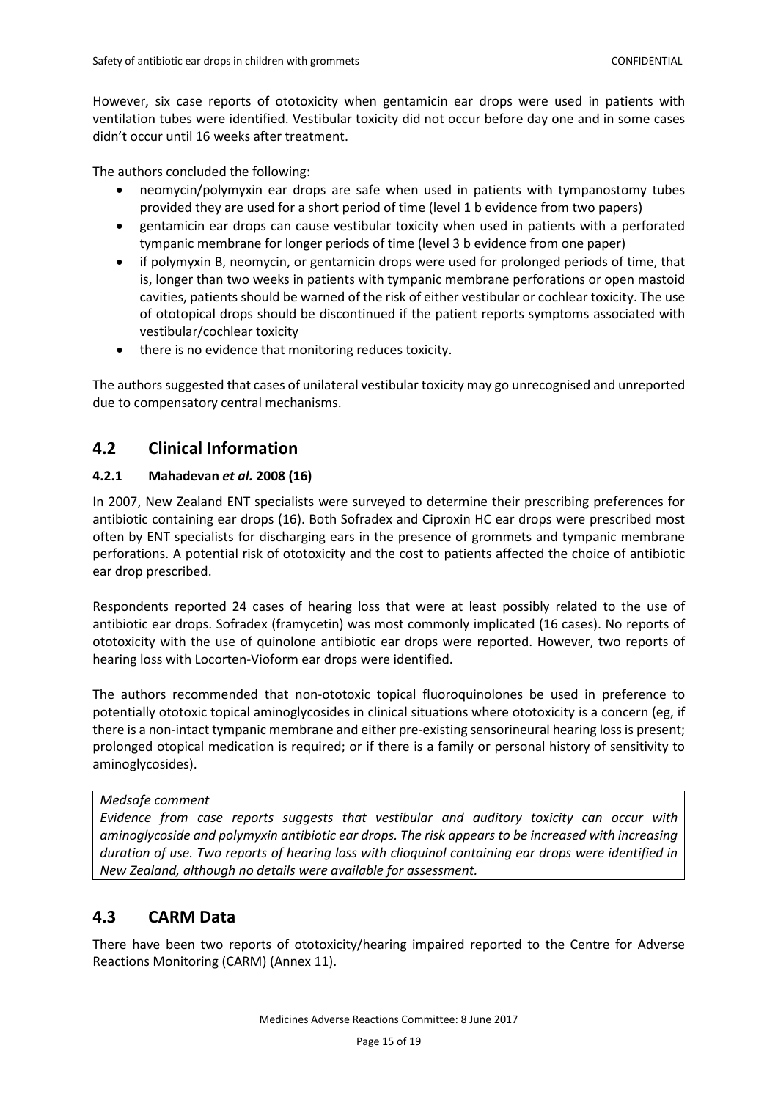However, six case reports of ototoxicity when gentamicin ear drops were used in patients with ventilation tubes were identified. Vestibular toxicity did not occur before day one and in some cases didn't occur until 16 weeks after treatment.

The authors concluded the following:

- neomycin/polymyxin ear drops are safe when used in patients with tympanostomy tubes provided they are used for a short period of time (level 1 b evidence from two papers)
- gentamicin ear drops can cause vestibular toxicity when used in patients with a perforated tympanic membrane for longer periods of time (level 3 b evidence from one paper)
- if polymyxin B, neomycin, or gentamicin drops were used for prolonged periods of time, that is, longer than two weeks in patients with tympanic membrane perforations or open mastoid cavities, patients should be warned of the risk of either vestibular or cochlear toxicity. The use of ototopical drops should be discontinued if the patient reports symptoms associated with vestibular/cochlear toxicity
- there is no evidence that monitoring reduces toxicity.

The authors suggested that cases of unilateral vestibular toxicity may go unrecognised and unreported due to compensatory central mechanisms.

## <span id="page-14-0"></span>**4.2 Clinical Information**

### <span id="page-14-1"></span>**4.2.1 Mahadevan** *et al.* **2008 (16)**

In 2007, New Zealand ENT specialists were surveyed to determine their prescribing preferences for antibiotic containing ear drops (16). Both Sofradex and Ciproxin HC ear drops were prescribed most often by ENT specialists for discharging ears in the presence of grommets and tympanic membrane perforations. A potential risk of ototoxicity and the cost to patients affected the choice of antibiotic ear drop prescribed.

Respondents reported 24 cases of hearing loss that were at least possibly related to the use of antibiotic ear drops. Sofradex (framycetin) was most commonly implicated (16 cases). No reports of ototoxicity with the use of quinolone antibiotic ear drops were reported. However, two reports of hearing loss with Locorten-Vioform ear drops were identified.

The authors recommended that non-ototoxic topical fluoroquinolones be used in preference to potentially ototoxic topical aminoglycosides in clinical situations where ototoxicity is a concern (eg, if there is a non-intact tympanic membrane and either pre-existing sensorineural hearing loss is present; prolonged otopical medication is required; or if there is a family or personal history of sensitivity to aminoglycosides).

*Medsafe comment*

*Evidence from case reports suggests that vestibular and auditory toxicity can occur with aminoglycoside and polymyxin antibiotic ear drops. The risk appears to be increased with increasing duration of use. Two reports of hearing loss with clioquinol containing ear drops were identified in New Zealand, although no details were available for assessment.*

## <span id="page-14-2"></span>**4.3 CARM Data**

There have been two reports of ototoxicity/hearing impaired reported to the Centre for Adverse Reactions Monitoring (CARM) (Annex 11).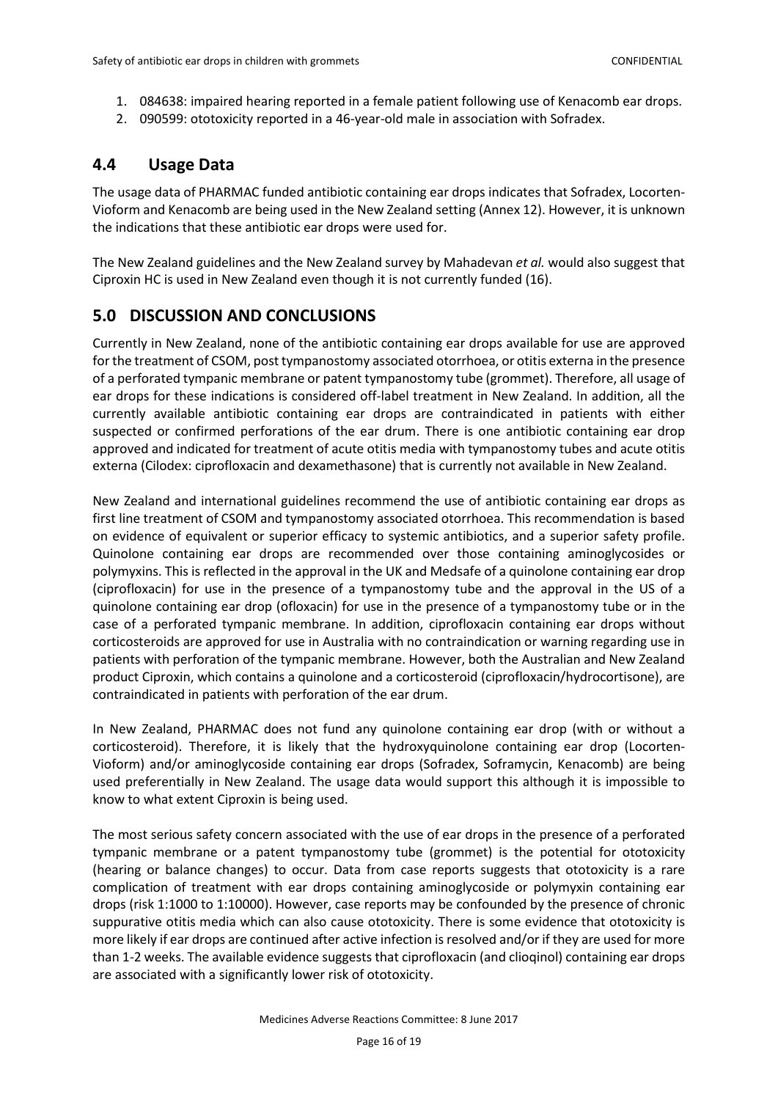- 1. 084638: impaired hearing reported in a female patient following use of Kenacomb ear drops.
- 2. 090599: ototoxicity reported in a 46-year-old male in association with Sofradex.

# <span id="page-15-0"></span>**4.4 Usage Data**

The usage data of PHARMAC funded antibiotic containing ear drops indicates that Sofradex, Locorten-Vioform and Kenacomb are being used in the New Zealand setting (Annex 12). However, it is unknown the indications that these antibiotic ear drops were used for.

The New Zealand guidelines and the New Zealand survey by Mahadevan *et al.* would also suggest that Ciproxin HC is used in New Zealand even though it is not currently funded (16).

# <span id="page-15-1"></span>**5.0 DISCUSSION AND CONCLUSIONS**

Currently in New Zealand, none of the antibiotic containing ear drops available for use are approved for the treatment of CSOM, post tympanostomy associated otorrhoea, or otitis externa in the presence of a perforated tympanic membrane or patent tympanostomy tube (grommet). Therefore, all usage of ear drops for these indications is considered off-label treatment in New Zealand. In addition, all the currently available antibiotic containing ear drops are contraindicated in patients with either suspected or confirmed perforations of the ear drum. There is one antibiotic containing ear drop approved and indicated for treatment of acute otitis media with tympanostomy tubes and acute otitis externa (Cilodex: ciprofloxacin and dexamethasone) that is currently not available in New Zealand.

New Zealand and international guidelines recommend the use of antibiotic containing ear drops as first line treatment of CSOM and tympanostomy associated otorrhoea. This recommendation is based on evidence of equivalent or superior efficacy to systemic antibiotics, and a superior safety profile. Quinolone containing ear drops are recommended over those containing aminoglycosides or polymyxins. This is reflected in the approval in the UK and Medsafe of a quinolone containing ear drop (ciprofloxacin) for use in the presence of a tympanostomy tube and the approval in the US of a quinolone containing ear drop (ofloxacin) for use in the presence of a tympanostomy tube or in the case of a perforated tympanic membrane. In addition, ciprofloxacin containing ear drops without corticosteroids are approved for use in Australia with no contraindication or warning regarding use in patients with perforation of the tympanic membrane. However, both the Australian and New Zealand product Ciproxin, which contains a quinolone and a corticosteroid (ciprofloxacin/hydrocortisone), are contraindicated in patients with perforation of the ear drum.

In New Zealand, PHARMAC does not fund any quinolone containing ear drop (with or without a corticosteroid). Therefore, it is likely that the hydroxyquinolone containing ear drop (Locorten-Vioform) and/or aminoglycoside containing ear drops (Sofradex, Soframycin, Kenacomb) are being used preferentially in New Zealand. The usage data would support this although it is impossible to know to what extent Ciproxin is being used.

The most serious safety concern associated with the use of ear drops in the presence of a perforated tympanic membrane or a patent tympanostomy tube (grommet) is the potential for ototoxicity (hearing or balance changes) to occur. Data from case reports suggests that ototoxicity is a rare complication of treatment with ear drops containing aminoglycoside or polymyxin containing ear drops (risk 1:1000 to 1:10000). However, case reports may be confounded by the presence of chronic suppurative otitis media which can also cause ototoxicity. There is some evidence that ototoxicity is more likely if ear drops are continued after active infection is resolved and/or if they are used for more than 1-2 weeks. The available evidence suggests that ciprofloxacin (and clioqinol) containing ear drops are associated with a significantly lower risk of ototoxicity.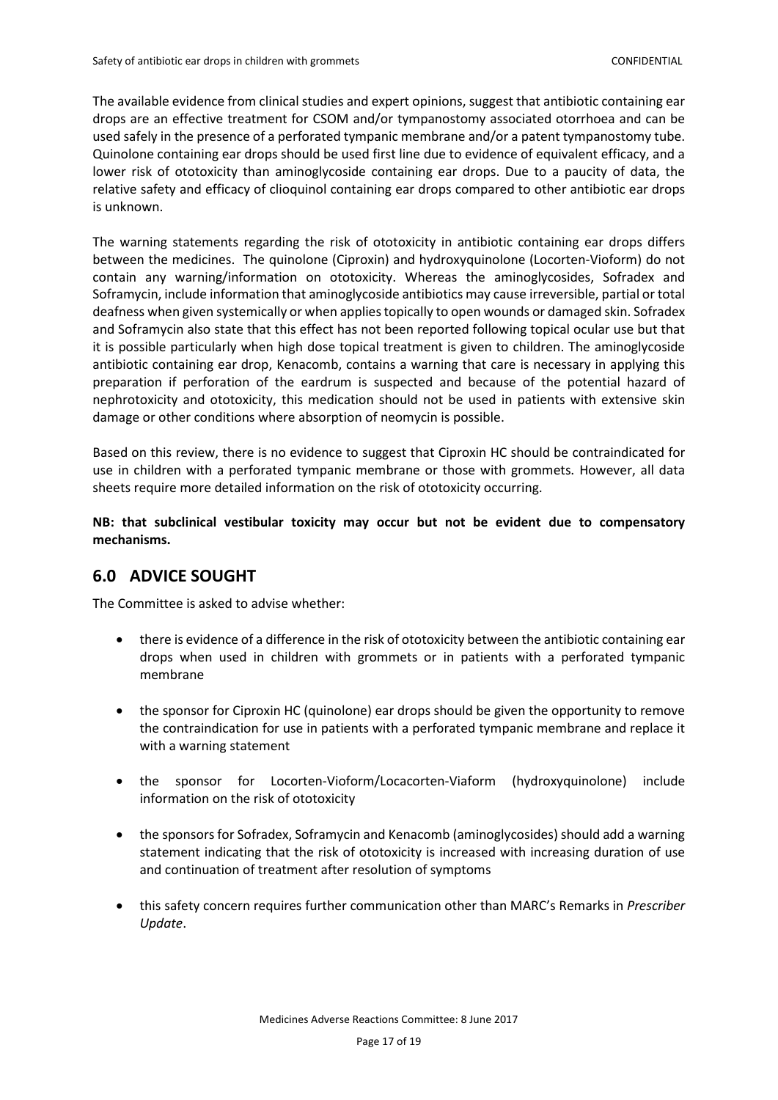The available evidence from clinical studies and expert opinions, suggest that antibiotic containing ear drops are an effective treatment for CSOM and/or tympanostomy associated otorrhoea and can be used safely in the presence of a perforated tympanic membrane and/or a patent tympanostomy tube. Quinolone containing ear drops should be used first line due to evidence of equivalent efficacy, and a lower risk of ototoxicity than aminoglycoside containing ear drops. Due to a paucity of data, the relative safety and efficacy of clioquinol containing ear drops compared to other antibiotic ear drops is unknown.

The warning statements regarding the risk of ototoxicity in antibiotic containing ear drops differs between the medicines. The quinolone (Ciproxin) and hydroxyquinolone (Locorten-Vioform) do not contain any warning/information on ototoxicity. Whereas the aminoglycosides, Sofradex and Soframycin, include information that aminoglycoside antibiotics may cause irreversible, partial or total deafness when given systemically or when applies topically to open wounds or damaged skin. Sofradex and Soframycin also state that this effect has not been reported following topical ocular use but that it is possible particularly when high dose topical treatment is given to children. The aminoglycoside antibiotic containing ear drop, Kenacomb, contains a warning that care is necessary in applying this preparation if perforation of the eardrum is suspected and because of the potential hazard of nephrotoxicity and ototoxicity, this medication should not be used in patients with extensive skin damage or other conditions where absorption of neomycin is possible.

Based on this review, there is no evidence to suggest that Ciproxin HC should be contraindicated for use in children with a perforated tympanic membrane or those with grommets. However, all data sheets require more detailed information on the risk of ototoxicity occurring.

**NB: that subclinical vestibular toxicity may occur but not be evident due to compensatory mechanisms.** 

## <span id="page-16-0"></span>**6.0 ADVICE SOUGHT**

The Committee is asked to advise whether:

- there is evidence of a difference in the risk of ototoxicity between the antibiotic containing ear drops when used in children with grommets or in patients with a perforated tympanic membrane
- the sponsor for Ciproxin HC (quinolone) ear drops should be given the opportunity to remove the contraindication for use in patients with a perforated tympanic membrane and replace it with a warning statement
- the sponsor for Locorten-Vioform/Locacorten-Viaform (hydroxyquinolone) include information on the risk of ototoxicity
- the sponsors for Sofradex, Soframycin and Kenacomb (aminoglycosides) should add a warning statement indicating that the risk of ototoxicity is increased with increasing duration of use and continuation of treatment after resolution of symptoms
- this safety concern requires further communication other than MARC's Remarks in *Prescriber Update*.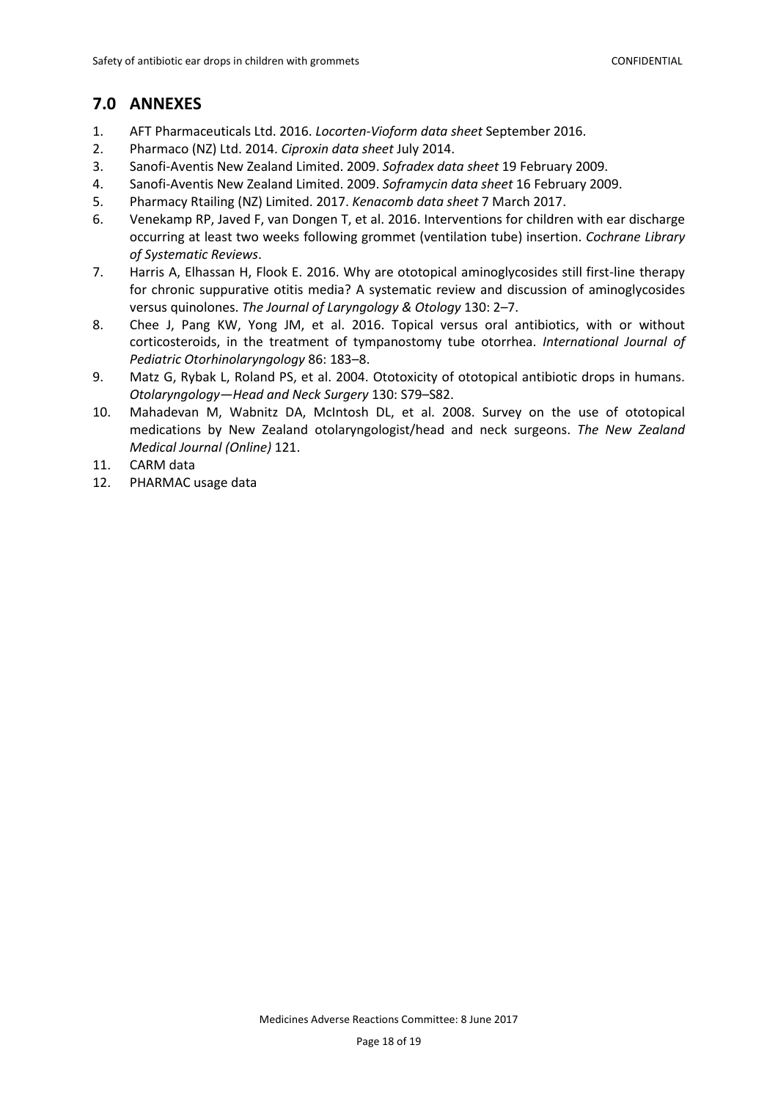## <span id="page-17-0"></span>**7.0 ANNEXES**

- 1. AFT Pharmaceuticals Ltd. 2016. *Locorten-Vioform data sheet* September 2016.
- 2. Pharmaco (NZ) Ltd. 2014. *Ciproxin data sheet* July 2014.
- 3. Sanofi-Aventis New Zealand Limited. 2009. *Sofradex data sheet* 19 February 2009.
- 4. Sanofi-Aventis New Zealand Limited. 2009. *Soframycin data sheet* 16 February 2009.
- 5. Pharmacy Rtailing (NZ) Limited. 2017. *Kenacomb data sheet* 7 March 2017.
- 6. Venekamp RP, Javed F, van Dongen T, et al. 2016. Interventions for children with ear discharge occurring at least two weeks following grommet (ventilation tube) insertion. *Cochrane Library of Systematic Reviews*.
- 7. Harris A, Elhassan H, Flook E. 2016. Why are ototopical aminoglycosides still first-line therapy for chronic suppurative otitis media? A systematic review and discussion of aminoglycosides versus quinolones. *The Journal of Laryngology & Otology* 130: 2–7.
- 8. Chee J, Pang KW, Yong JM, et al. 2016. Topical versus oral antibiotics, with or without corticosteroids, in the treatment of tympanostomy tube otorrhea. *International Journal of Pediatric Otorhinolaryngology* 86: 183–8.
- 9. Matz G, Rybak L, Roland PS, et al. 2004. Ototoxicity of ototopical antibiotic drops in humans. *Otolaryngology—Head and Neck Surgery* 130: S79–S82.
- 10. Mahadevan M, Wabnitz DA, McIntosh DL, et al. 2008. Survey on the use of ototopical medications by New Zealand otolaryngologist/head and neck surgeons. *The New Zealand Medical Journal (Online)* 121.
- 11. CARM data
- 12. PHARMAC usage data